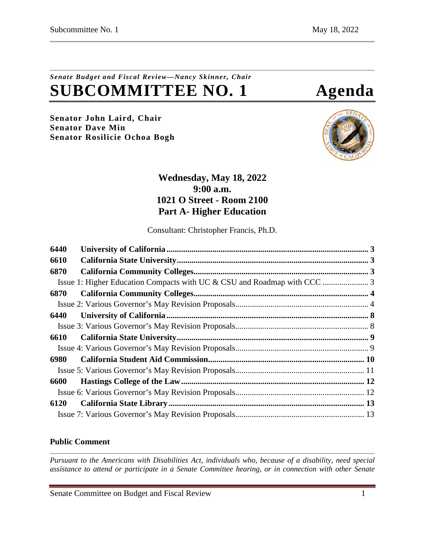# *Senate Budget and Fiscal Review—Nancy Skinner, Chair* **SUBCOMMITTEE NO. 1 Agenda**

**Senator John Laird, Chair Senator Dave Min Senator Rosilicie Ochoa Bogh**



## **Wednesday, May 18, 2022 9:00 a.m. 1021 O Street - Room 2100 Part A- Higher Education**

Consultant: Christopher Francis, Ph.D.

| 6440 |  |
|------|--|
| 6610 |  |
| 6870 |  |
|      |  |
| 6870 |  |
|      |  |
| 6440 |  |
|      |  |
| 6610 |  |
|      |  |
| 6980 |  |
|      |  |
| 6600 |  |
|      |  |
| 6120 |  |
|      |  |

## **Public Comment**

*Pursuant to the Americans with Disabilities Act, individuals who, because of a disability, need special assistance to attend or participate in a Senate Committee hearing, or in connection with other Senate* 

Senate Committee on Budget and Fiscal Review 1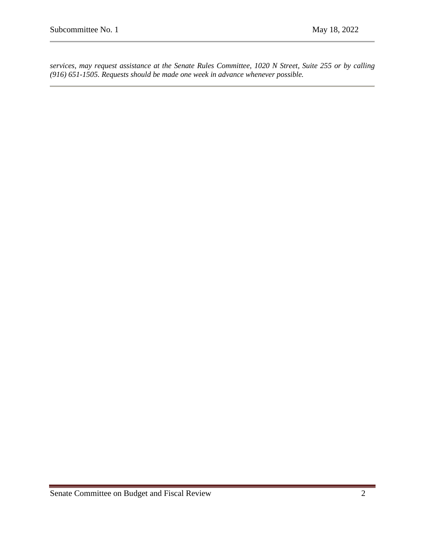*services, may request assistance at the Senate Rules Committee, 1020 N Street, Suite 255 or by calling (916) 651-1505. Requests should be made one week in advance whenever possible.*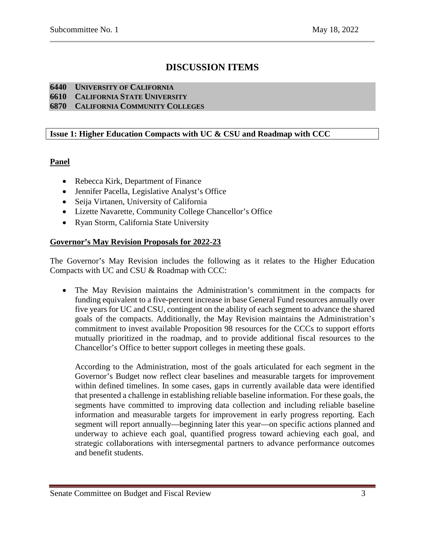## **DISCUSSION ITEMS**

#### <span id="page-2-0"></span>**6440 UNIVERSITY OF CALIFORNIA**

<span id="page-2-1"></span>**6610 CALIFORNIA STATE UNIVERSITY**

<span id="page-2-2"></span>**6870 CALIFORNIA COMMUNITY COLLEGES**

#### <span id="page-2-3"></span>**Issue 1: Higher Education Compacts with UC & CSU and Roadmap with CCC**

## **Panel**

- Rebecca Kirk, Department of Finance
- Jennifer Pacella, Legislative Analyst's Office
- Seija Virtanen, University of California
- Lizette Navarette, Community College Chancellor's Office
- Ryan Storm, California State University

#### **Governor's May Revision Proposals for 2022-23**

The Governor's May Revision includes the following as it relates to the Higher Education Compacts with UC and CSU & Roadmap with CCC:

The May Revision maintains the Administration's commitment in the compacts for funding equivalent to a five-percent increase in base General Fund resources annually over five years for UC and CSU, contingent on the ability of each segment to advance the shared goals of the compacts. Additionally, the May Revision maintains the Administration's commitment to invest available Proposition 98 resources for the CCCs to support efforts mutually prioritized in the roadmap, and to provide additional fiscal resources to the Chancellor's Office to better support colleges in meeting these goals.

According to the Administration, most of the goals articulated for each segment in the Governor's Budget now reflect clear baselines and measurable targets for improvement within defined timelines. In some cases, gaps in currently available data were identified that presented a challenge in establishing reliable baseline information. For these goals, the segments have committed to improving data collection and including reliable baseline information and measurable targets for improvement in early progress reporting. Each segment will report annually—beginning later this year—on specific actions planned and underway to achieve each goal, quantified progress toward achieving each goal, and strategic collaborations with intersegmental partners to advance performance outcomes and benefit students.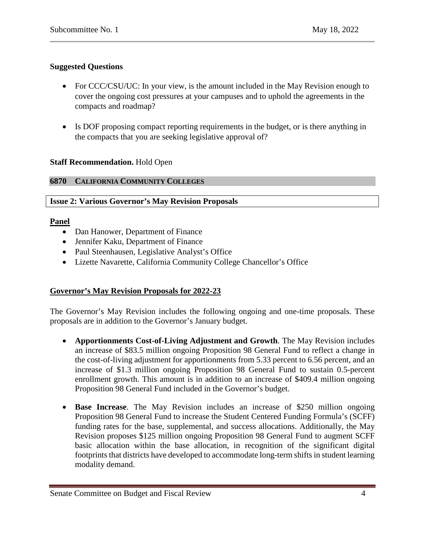## **Suggested Questions**

- For CCC/CSU/UC: In your view, is the amount included in the May Revision enough to cover the ongoing cost pressures at your campuses and to uphold the agreements in the compacts and roadmap?
- Is DOF proposing compact reporting requirements in the budget, or is there anything in the compacts that you are seeking legislative approval of?

#### **Staff Recommendation.** Hold Open

#### <span id="page-3-0"></span>**6870 CALIFORNIA COMMUNITY COLLEGES**

#### <span id="page-3-1"></span>**Issue 2: Various Governor's May Revision Proposals**

#### **Panel**

- Dan Hanower, Department of Finance
- Jennifer Kaku, Department of Finance
- Paul Steenhausen, Legislative Analyst's Office
- Lizette Navarette, California Community College Chancellor's Office

## **Governor's May Revision Proposals for 2022-23**

The Governor's May Revision includes the following ongoing and one-time proposals. These proposals are in addition to the Governor's January budget.

- **Apportionments Cost-of-Living Adjustment and Growth**. The May Revision includes an increase of \$83.5 million ongoing Proposition 98 General Fund to reflect a change in the cost-of-living adjustment for apportionments from 5.33 percent to 6.56 percent, and an increase of \$1.3 million ongoing Proposition 98 General Fund to sustain 0.5-percent enrollment growth. This amount is in addition to an increase of \$409.4 million ongoing Proposition 98 General Fund included in the Governor's budget.
- **Base Increase**. The May Revision includes an increase of \$250 million ongoing Proposition 98 General Fund to increase the Student Centered Funding Formula's (SCFF) funding rates for the base, supplemental, and success allocations. Additionally, the May Revision proposes \$125 million ongoing Proposition 98 General Fund to augment SCFF basic allocation within the base allocation, in recognition of the significant digital footprints that districts have developed to accommodate long-term shifts in student learning modality demand.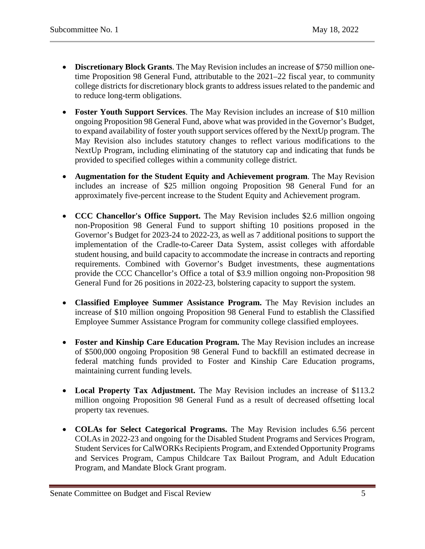- **Discretionary Block Grants**. The May Revision includes an increase of \$750 million onetime Proposition 98 General Fund, attributable to the 2021–22 fiscal year, to community college districts for discretionary block grants to address issues related to the pandemic and to reduce long-term obligations.
- **Foster Youth Support Services**. The May Revision includes an increase of \$10 million ongoing Proposition 98 General Fund, above what was provided in the Governor's Budget, to expand availability of foster youth support services offered by the NextUp program. The May Revision also includes statutory changes to reflect various modifications to the NextUp Program, including eliminating of the statutory cap and indicating that funds be provided to specified colleges within a community college district.
- **Augmentation for the Student Equity and Achievement program**. The May Revision includes an increase of \$25 million ongoing Proposition 98 General Fund for an approximately five-percent increase to the Student Equity and Achievement program.
- **CCC Chancellor's Office Support.** The May Revision includes \$2.6 million ongoing non-Proposition 98 General Fund to support shifting 10 positions proposed in the Governor's Budget for 2023-24 to 2022-23, as well as 7 additional positions to support the implementation of the Cradle-to-Career Data System, assist colleges with affordable student housing, and build capacity to accommodate the increase in contracts and reporting requirements. Combined with Governor's Budget investments, these augmentations provide the CCC Chancellor's Office a total of \$3.9 million ongoing non-Proposition 98 General Fund for 26 positions in 2022-23, bolstering capacity to support the system.
- **Classified Employee Summer Assistance Program.** The May Revision includes an increase of \$10 million ongoing Proposition 98 General Fund to establish the Classified Employee Summer Assistance Program for community college classified employees.
- **Foster and Kinship Care Education Program.** The May Revision includes an increase of \$500,000 ongoing Proposition 98 General Fund to backfill an estimated decrease in federal matching funds provided to Foster and Kinship Care Education programs, maintaining current funding levels.
- **Local Property Tax Adjustment.** The May Revision includes an increase of \$113.2 million ongoing Proposition 98 General Fund as a result of decreased offsetting local property tax revenues.
- **COLAs for Select Categorical Programs.** The May Revision includes 6.56 percent COLAs in 2022-23 and ongoing for the Disabled Student Programs and Services Program, Student Services for CalWORKs Recipients Program, and Extended Opportunity Programs and Services Program, Campus Childcare Tax Bailout Program, and Adult Education Program, and Mandate Block Grant program.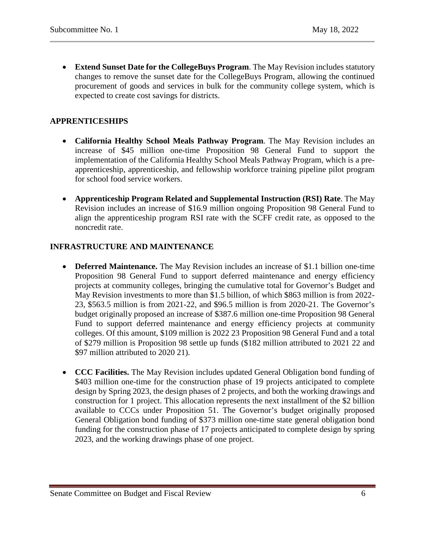• **Extend Sunset Date for the CollegeBuys Program**. The May Revision includes statutory changes to remove the sunset date for the CollegeBuys Program, allowing the continued procurement of goods and services in bulk for the community college system, which is expected to create cost savings for districts.

## **APPRENTICESHIPS**

- **California Healthy School Meals Pathway Program**. The May Revision includes an increase of \$45 million one-time Proposition 98 General Fund to support the implementation of the California Healthy School Meals Pathway Program, which is a preapprenticeship, apprenticeship, and fellowship workforce training pipeline pilot program for school food service workers.
- **Apprenticeship Program Related and Supplemental Instruction (RSI) Rate**. The May Revision includes an increase of \$16.9 million ongoing Proposition 98 General Fund to align the apprenticeship program RSI rate with the SCFF credit rate, as opposed to the noncredit rate.

## **INFRASTRUCTURE AND MAINTENANCE**

- **Deferred Maintenance.** The May Revision includes an increase of \$1.1 billion one-time Proposition 98 General Fund to support deferred maintenance and energy efficiency projects at community colleges, bringing the cumulative total for Governor's Budget and May Revision investments to more than \$1.5 billion, of which \$863 million is from 2022- 23, \$563.5 million is from 2021-22, and \$96.5 million is from 2020-21. The Governor's budget originally proposed an increase of \$387.6 million one-time Proposition 98 General Fund to support deferred maintenance and energy efficiency projects at community colleges. Of this amount, \$109 million is 2022 23 Proposition 98 General Fund and a total of \$279 million is Proposition 98 settle up funds (\$182 million attributed to 2021 22 and \$97 million attributed to 2020 21).
- **CCC Facilities.** The May Revision includes updated General Obligation bond funding of \$403 million one-time for the construction phase of 19 projects anticipated to complete design by Spring 2023, the design phases of 2 projects, and both the working drawings and construction for 1 project. This allocation represents the next installment of the \$2 billion available to CCCs under Proposition 51. The Governor's budget originally proposed General Obligation bond funding of \$373 million one-time state general obligation bond funding for the construction phase of 17 projects anticipated to complete design by spring 2023, and the working drawings phase of one project.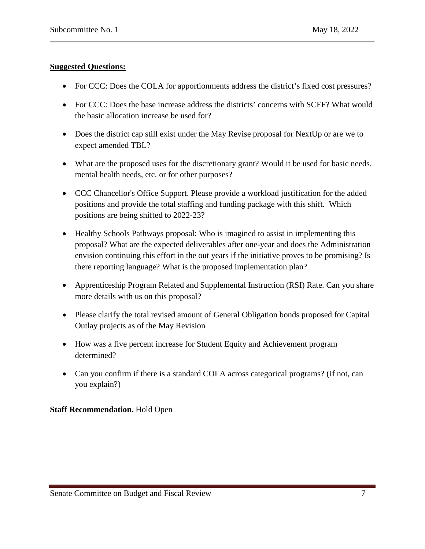## **Suggested Questions:**

- For CCC: Does the COLA for apportionments address the district's fixed cost pressures?
- For CCC: Does the base increase address the districts' concerns with SCFF? What would the basic allocation increase be used for?
- Does the district cap still exist under the May Revise proposal for NextUp or are we to expect amended TBL?
- What are the proposed uses for the discretionary grant? Would it be used for basic needs. mental health needs, etc. or for other purposes?
- CCC Chancellor's Office Support. Please provide a workload justification for the added positions and provide the total staffing and funding package with this shift. Which positions are being shifted to 2022-23?
- Healthy Schools Pathways proposal: Who is imagined to assist in implementing this proposal? What are the expected deliverables after one-year and does the Administration envision continuing this effort in the out years if the initiative proves to be promising? Is there reporting language? What is the proposed implementation plan?
- Apprenticeship Program Related and Supplemental Instruction (RSI) Rate. Can you share more details with us on this proposal?
- Please clarify the total revised amount of General Obligation bonds proposed for Capital Outlay projects as of the May Revision
- How was a five percent increase for Student Equity and Achievement program determined?
- Can you confirm if there is a standard COLA across categorical programs? (If not, can you explain?)

## **Staff Recommendation.** Hold Open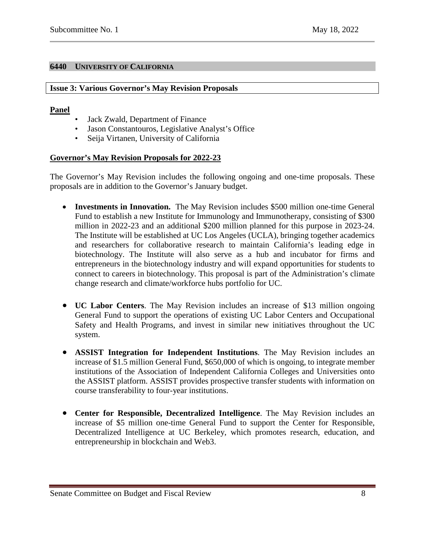#### <span id="page-7-0"></span>**6440 UNIVERSITY OF CALIFORNIA**

#### <span id="page-7-1"></span>**Issue 3: Various Governor's May Revision Proposals**

#### **Panel**

- Jack Zwald, Department of Finance
- Jason Constantouros, Legislative Analyst's Office
- Seija Virtanen, University of California

## **Governor's May Revision Proposals for 2022-23**

The Governor's May Revision includes the following ongoing and one-time proposals. These proposals are in addition to the Governor's January budget.

- **Investments in Innovation.** The May Revision includes \$500 million one-time General Fund to establish a new Institute for Immunology and Immunotherapy, consisting of \$300 million in 2022-23 and an additional \$200 million planned for this purpose in 2023-24. The Institute will be established at UC Los Angeles (UCLA), bringing together academics and researchers for collaborative research to maintain California's leading edge in biotechnology. The Institute will also serve as a hub and incubator for firms and entrepreneurs in the biotechnology industry and will expand opportunities for students to connect to careers in biotechnology. This proposal is part of the Administration's climate change research and climate/workforce hubs portfolio for UC.
- **UC Labor Centers**. The May Revision includes an increase of \$13 million ongoing General Fund to support the operations of existing UC Labor Centers and Occupational Safety and Health Programs, and invest in similar new initiatives throughout the UC system.
- **ASSIST Integration for Independent Institutions**. The May Revision includes an increase of \$1.5 million General Fund, \$650,000 of which is ongoing, to integrate member institutions of the Association of Independent California Colleges and Universities onto the ASSIST platform. ASSIST provides prospective transfer students with information on course transferability to four-year institutions.
- **Center for Responsible, Decentralized Intelligence**. The May Revision includes an increase of \$5 million one-time General Fund to support the Center for Responsible, Decentralized Intelligence at UC Berkeley, which promotes research, education, and entrepreneurship in blockchain and Web3.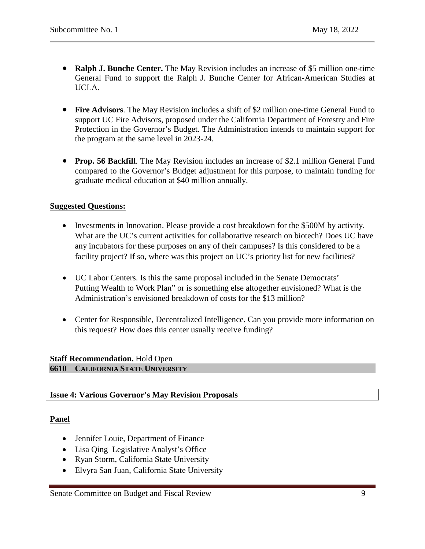- **Ralph J. Bunche Center.** The May Revision includes an increase of \$5 million one-time General Fund to support the Ralph J. Bunche Center for African-American Studies at UCLA.
- **Fire Advisors**. The May Revision includes a shift of \$2 million one-time General Fund to support UC Fire Advisors, proposed under the California Department of Forestry and Fire Protection in the Governor's Budget. The Administration intends to maintain support for the program at the same level in 2023-24.
- **Prop. 56 Backfill**. The May Revision includes an increase of \$2.1 million General Fund compared to the Governor's Budget adjustment for this purpose, to maintain funding for graduate medical education at \$40 million annually.

#### **Suggested Questions:**

- Investments in Innovation. Please provide a cost breakdown for the \$500M by activity. What are the UC's current activities for collaborative research on biotech? Does UC have any incubators for these purposes on any of their campuses? Is this considered to be a facility project? If so, where was this project on UC's priority list for new facilities?
- UC Labor Centers. Is this the same proposal included in the Senate Democrats' Putting Wealth to Work Plan" or is something else altogether envisioned? What is the Administration's envisioned breakdown of costs for the \$13 million?
- Center for Responsible, Decentralized Intelligence. Can you provide more information on this request? How does this center usually receive funding?

#### <span id="page-8-0"></span>**Staff Recommendation.** Hold Open **6610 CALIFORNIA STATE UNIVERSITY**

#### <span id="page-8-1"></span>**Issue 4: Various Governor's May Revision Proposals**

## **Panel**

- Jennifer Louie, Department of Finance
- Lisa Qing Legislative Analyst's Office
- Ryan Storm, California State University
- Elvyra San Juan, California State University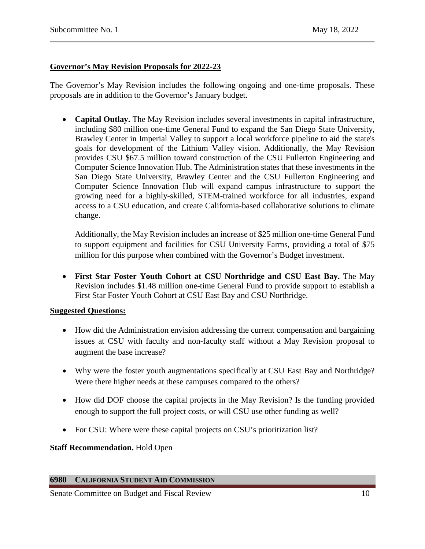## **Governor's May Revision Proposals for 2022-23**

The Governor's May Revision includes the following ongoing and one-time proposals. These proposals are in addition to the Governor's January budget.

• **Capital Outlay.** The May Revision includes several investments in capital infrastructure, including \$80 million one-time General Fund to expand the San Diego State University, Brawley Center in Imperial Valley to support a local workforce pipeline to aid the state's goals for development of the Lithium Valley vision. Additionally, the May Revision provides CSU \$67.5 million toward construction of the CSU Fullerton Engineering and Computer Science Innovation Hub. The Administration states that these investments in the San Diego State University, Brawley Center and the CSU Fullerton Engineering and Computer Science Innovation Hub will expand campus infrastructure to support the growing need for a highly-skilled, STEM-trained workforce for all industries, expand access to a CSU education, and create California-based collaborative solutions to climate change.

Additionally, the May Revision includes an increase of \$25 million one-time General Fund to support equipment and facilities for CSU University Farms, providing a total of \$75 million for this purpose when combined with the Governor's Budget investment.

• **First Star Foster Youth Cohort at CSU Northridge and CSU East Bay.** The May Revision includes \$1.48 million one-time General Fund to provide support to establish a First Star Foster Youth Cohort at CSU East Bay and CSU Northridge.

#### **Suggested Questions:**

- How did the Administration envision addressing the current compensation and bargaining issues at CSU with faculty and non-faculty staff without a May Revision proposal to augment the base increase?
- Why were the foster youth augmentations specifically at CSU East Bay and Northridge? Were there higher needs at these campuses compared to the others?
- How did DOF choose the capital projects in the May Revision? Is the funding provided enough to support the full project costs, or will CSU use other funding as well?
- For CSU: Where were these capital projects on CSU's prioritization list?

## **Staff Recommendation.** Hold Open

#### <span id="page-9-0"></span>**6980 CALIFORNIA STUDENT AID COMMISSION**

Senate Committee on Budget and Fiscal Review 10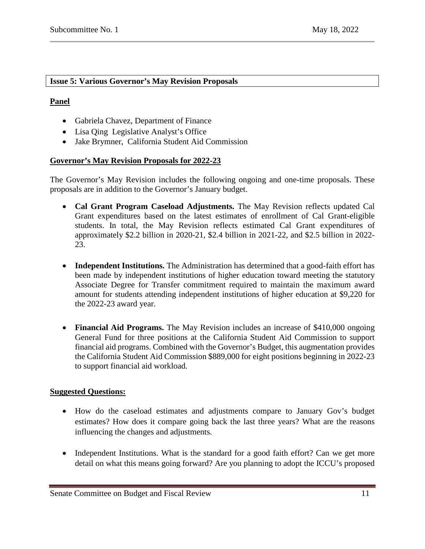#### <span id="page-10-0"></span>**Issue 5: Various Governor's May Revision Proposals**

### **Panel**

- Gabriela Chavez, Department of Finance
- Lisa Qing Legislative Analyst's Office
- Jake Brymner, California Student Aid Commission

#### **Governor's May Revision Proposals for 2022-23**

The Governor's May Revision includes the following ongoing and one-time proposals. These proposals are in addition to the Governor's January budget.

- **Cal Grant Program Caseload Adjustments.** The May Revision reflects updated Cal Grant expenditures based on the latest estimates of enrollment of Cal Grant-eligible students. In total, the May Revision reflects estimated Cal Grant expenditures of approximately \$2.2 billion in 2020-21, \$2.4 billion in 2021-22, and \$2.5 billion in 2022- 23.
- **Independent Institutions.** The Administration has determined that a good-faith effort has been made by independent institutions of higher education toward meeting the statutory Associate Degree for Transfer commitment required to maintain the maximum award amount for students attending independent institutions of higher education at \$9,220 for the 2022-23 award year.
- **Financial Aid Programs.** The May Revision includes an increase of \$410,000 ongoing General Fund for three positions at the California Student Aid Commission to support financial aid programs. Combined with the Governor's Budget, this augmentation provides the California Student Aid Commission \$889,000 for eight positions beginning in 2022-23 to support financial aid workload.

## **Suggested Questions:**

- How do the caseload estimates and adjustments compare to January Gov's budget estimates? How does it compare going back the last three years? What are the reasons influencing the changes and adjustments.
- Independent Institutions. What is the standard for a good faith effort? Can we get more detail on what this means going forward? Are you planning to adopt the ICCU's proposed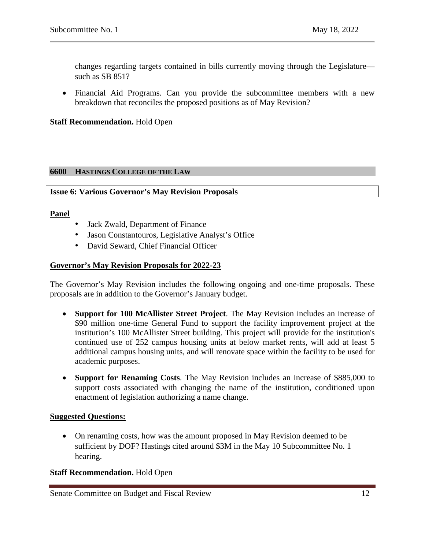changes regarding targets contained in bills currently moving through the Legislature such as SB 851?

• Financial Aid Programs. Can you provide the subcommittee members with a new breakdown that reconciles the proposed positions as of May Revision?

#### **Staff Recommendation.** Hold Open

#### <span id="page-11-0"></span>**6600 HASTINGS COLLEGE OF THE LAW**

#### <span id="page-11-1"></span>**Issue 6: Various Governor's May Revision Proposals**

#### **Panel**

- Jack Zwald, Department of Finance
- Jason Constantouros, Legislative Analyst's Office
- David Seward, Chief Financial Officer

#### **Governor's May Revision Proposals for 2022-23**

The Governor's May Revision includes the following ongoing and one-time proposals. These proposals are in addition to the Governor's January budget.

- **Support for 100 McAllister Street Project**. The May Revision includes an increase of \$90 million one-time General Fund to support the facility improvement project at the institution's 100 McAllister Street building. This project will provide for the institution's continued use of 252 campus housing units at below market rents, will add at least 5 additional campus housing units, and will renovate space within the facility to be used for academic purposes.
- **Support for Renaming Costs**. The May Revision includes an increase of \$885,000 to support costs associated with changing the name of the institution, conditioned upon enactment of legislation authorizing a name change.

#### **Suggested Questions:**

• On renaming costs, how was the amount proposed in May Revision deemed to be sufficient by DOF? Hastings cited around \$3M in the May 10 Subcommittee No. 1 hearing.

#### **Staff Recommendation.** Hold Open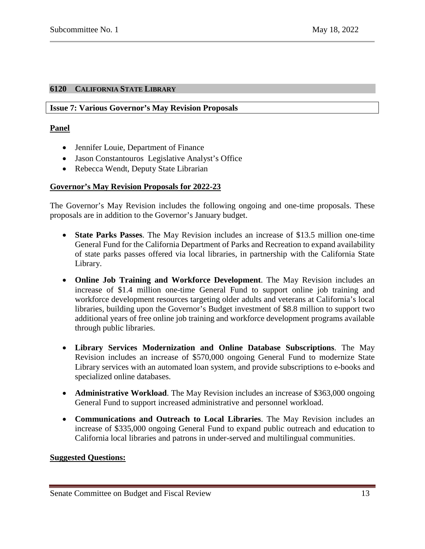## <span id="page-12-1"></span><span id="page-12-0"></span>**6120 CALIFORNIA STATE LIBRARY**

#### **Issue 7: Various Governor's May Revision Proposals**

### **Panel**

- Jennifer Louie, Department of Finance
- Jason Constantouros Legislative Analyst's Office
- Rebecca Wendt, Deputy State Librarian

## **Governor's May Revision Proposals for 2022-23**

The Governor's May Revision includes the following ongoing and one-time proposals. These proposals are in addition to the Governor's January budget.

- **State Parks Passes**. The May Revision includes an increase of \$13.5 million one-time General Fund for the California Department of Parks and Recreation to expand availability of state parks passes offered via local libraries, in partnership with the California State Library.
- **Online Job Training and Workforce Development**. The May Revision includes an increase of \$1.4 million one-time General Fund to support online job training and workforce development resources targeting older adults and veterans at California's local libraries, building upon the Governor's Budget investment of \$8.8 million to support two additional years of free online job training and workforce development programs available through public libraries.
- **Library Services Modernization and Online Database Subscriptions**. The May Revision includes an increase of \$570,000 ongoing General Fund to modernize State Library services with an automated loan system, and provide subscriptions to e-books and specialized online databases.
- **Administrative Workload**. The May Revision includes an increase of \$363,000 ongoing General Fund to support increased administrative and personnel workload.
- **Communications and Outreach to Local Libraries**. The May Revision includes an increase of \$335,000 ongoing General Fund to expand public outreach and education to California local libraries and patrons in under-served and multilingual communities.

#### **Suggested Questions:**